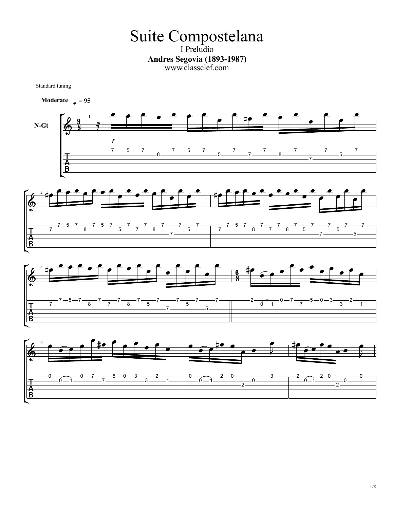Suite Compostelana I Preludio **Andres Segovia (1893-1987)** www.classclef.com

Standard tuning

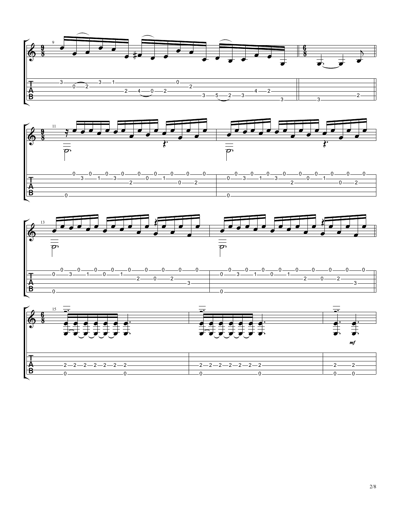





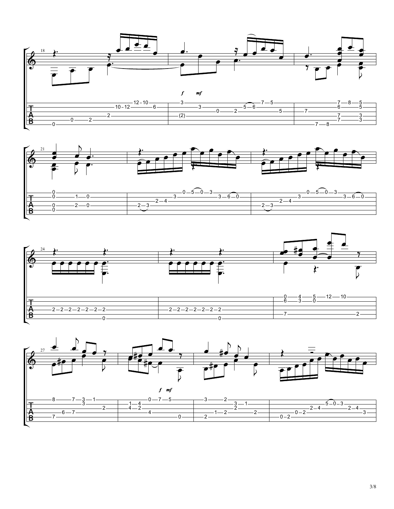





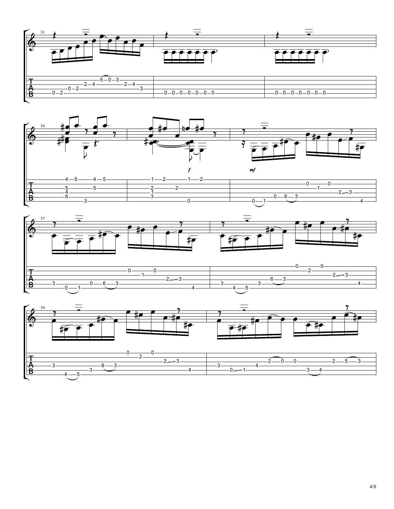





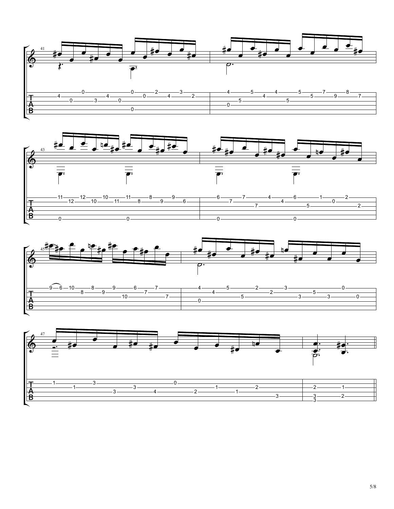





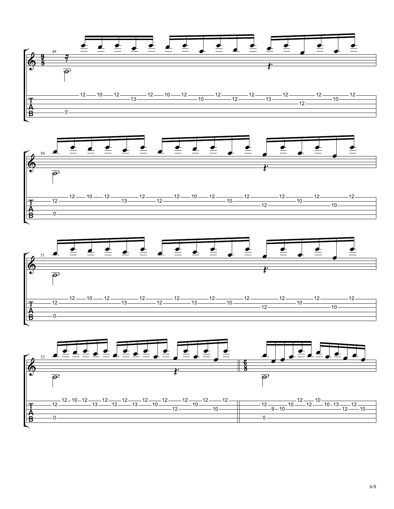





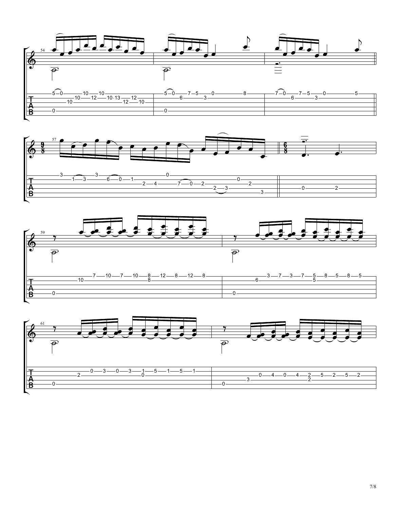